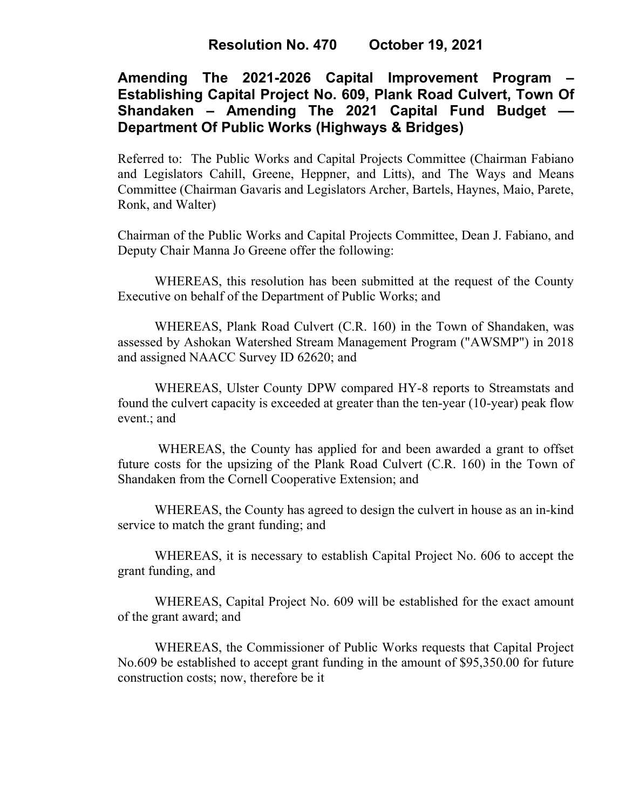## **Resolution No. 470 October 19, 2021**

# **Amending The 2021-2026 Capital Improvement Program – Establishing Capital Project No. 609, Plank Road Culvert, Town Of Shandaken – Amending The 2021 Capital Fund Budget –– Department Of Public Works (Highways & Bridges)**

Referred to: The Public Works and Capital Projects Committee (Chairman Fabiano and Legislators Cahill, Greene, Heppner, and Litts), and The Ways and Means Committee (Chairman Gavaris and Legislators Archer, Bartels, Haynes, Maio, Parete, Ronk, and Walter)

Chairman of the Public Works and Capital Projects Committee, Dean J. Fabiano, and Deputy Chair Manna Jo Greene offer the following:

WHEREAS, this resolution has been submitted at the request of the County Executive on behalf of the Department of Public Works; and

WHEREAS, Plank Road Culvert (C.R. 160) in the Town of Shandaken, was assessed by Ashokan Watershed Stream Management Program ("AWSMP") in 2018 and assigned NAACC Survey ID 62620; and

WHEREAS, Ulster County DPW compared HY-8 reports to Streamstats and found the culvert capacity is exceeded at greater than the ten-year (10-year) peak flow event.; and

WHEREAS, the County has applied for and been awarded a grant to offset future costs for the upsizing of the Plank Road Culvert (C.R. 160) in the Town of Shandaken from the Cornell Cooperative Extension; and

WHEREAS, the County has agreed to design the culvert in house as an in-kind service to match the grant funding; and

WHEREAS, it is necessary to establish Capital Project No. 606 to accept the grant funding, and

WHEREAS, Capital Project No. 609 will be established for the exact amount of the grant award; and

WHEREAS, the Commissioner of Public Works requests that Capital Project No.609 be established to accept grant funding in the amount of \$95,350.00 for future construction costs; now, therefore be it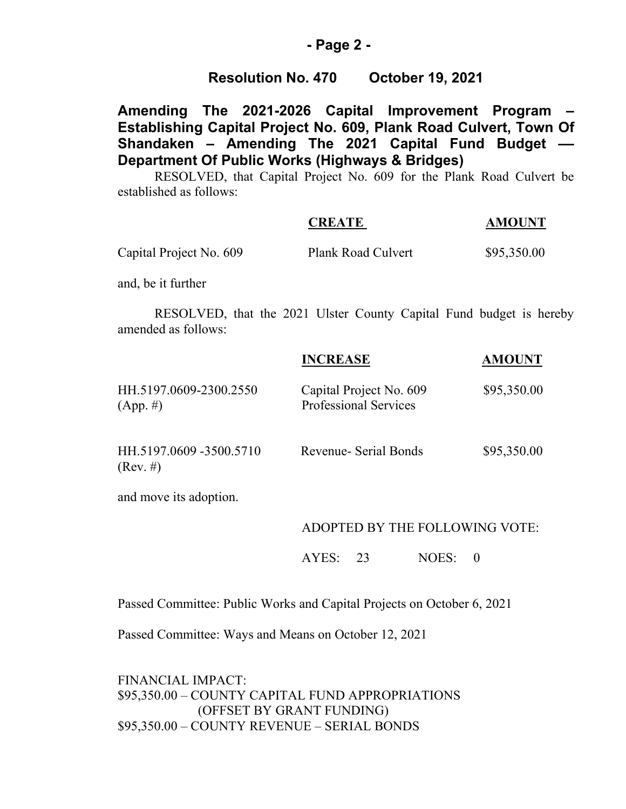### **- Page 2 -**

### **Resolution No. 470 October 19, 2021**

**Amending The 2021-2026 Capital Improvement Program – Establishing Capital Project No. 609, Plank Road Culvert, Town Of Shandaken – Amending The 2021 Capital Fund Budget –– Department Of Public Works (Highways & Bridges)**

RESOLVED, that Capital Project No. 609 for the Plank Road Culvert be established as follows:

|                    |                                                                     |  | <b>CREATE</b> |                    |  | <b>AMOUNT</b> |  |  |
|--------------------|---------------------------------------------------------------------|--|---------------|--------------------|--|---------------|--|--|
|                    | Capital Project No. 609                                             |  |               | Plank Road Culvert |  | \$95,350.00   |  |  |
| and, be it further |                                                                     |  |               |                    |  |               |  |  |
|                    | RESOLVED, that the 2021 Ulster County Capital Fund budget is hereby |  |               |                    |  |               |  |  |

amended as follows:

|                                |      |                 | <b>AMOUNT</b>                                                                    |  |  |  |  |
|--------------------------------|------|-----------------|----------------------------------------------------------------------------------|--|--|--|--|
|                                |      |                 | \$95,350.00                                                                      |  |  |  |  |
|                                |      |                 | \$95,350.00                                                                      |  |  |  |  |
|                                |      |                 |                                                                                  |  |  |  |  |
| ADOPTED BY THE FOLLOWING VOTE: |      |                 |                                                                                  |  |  |  |  |
| AYES:                          | - 23 | NOES:           | $\theta$                                                                         |  |  |  |  |
|                                |      | <b>INCREASE</b> | Capital Project No. 609<br><b>Professional Services</b><br>Revenue- Serial Bonds |  |  |  |  |

Passed Committee: Public Works and Capital Projects on October 6, 2021

Passed Committee: Ways and Means on October 12, 2021

FINANCIAL IMPACT: \$95,350.00 – COUNTY CAPITAL FUND APPROPRIATIONS (OFFSET BY GRANT FUNDING) \$95,350.00 – COUNTY REVENUE – SERIAL BONDS